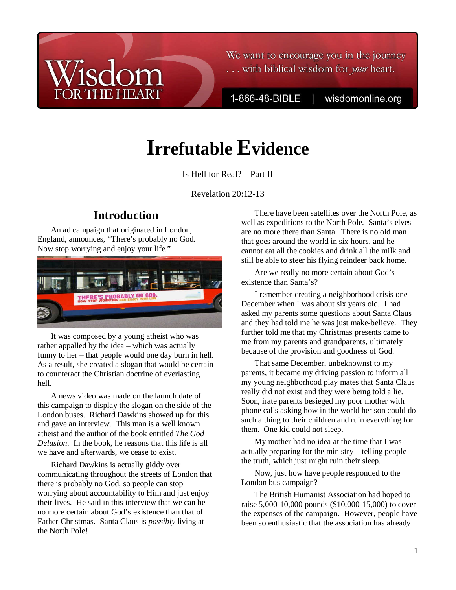### We want to encourage you in the journey ... with biblical wisdom for your heart.

1-866-48-BIBLE

wisdomonline.org

# **Irrefutable Evidence**

Is Hell for Real? – Part II

Revelation 20:12-13

# **Introduction**

**THE HEART** 

An ad campaign that originated in London, England, announces, "There's probably no God. Now stop worrying and enjoy your life."



It was composed by a young atheist who was rather appalled by the idea – which was actually funny to her – that people would one day burn in hell. As a result, she created a slogan that would be certain to counteract the Christian doctrine of everlasting hell.

A news video was made on the launch date of this campaign to display the slogan on the side of the London buses. Richard Dawkins showed up for this and gave an interview. This man is a well known atheist and the author of the book entitled *The God Delusion*. In the book, he reasons that this life is all we have and afterwards, we cease to exist.

Richard Dawkins is actually giddy over communicating throughout the streets of London that there is probably no God, so people can stop worrying about accountability to Him and just enjoy their lives. He said in this interview that we can be no more certain about God's existence than that of Father Christmas. Santa Claus is *possibly* living at the North Pole!

There have been satellites over the North Pole, as well as expeditions to the North Pole. Santa's elves are no more there than Santa. There is no old man that goes around the world in six hours, and he cannot eat all the cookies and drink all the milk and still be able to steer his flying reindeer back home.

Are we really no more certain about God's existence than Santa's?

I remember creating a neighborhood crisis one December when I was about six years old. I had asked my parents some questions about Santa Claus and they had told me he was just make-believe. They further told me that my Christmas presents came to me from my parents and grandparents, ultimately because of the provision and goodness of God.

That same December, unbeknownst to my parents, it became my driving passion to inform all my young neighborhood play mates that Santa Claus really did not exist and they were being told a lie. Soon, irate parents besieged my poor mother with phone calls asking how in the world her son could do such a thing to their children and ruin everything for them. One kid could not sleep.

My mother had no idea at the time that I was actually preparing for the ministry – telling people the truth, which just might ruin their sleep.

Now, just how have people responded to the London bus campaign?

The British Humanist Association had hoped to raise 5,000-10,000 pounds (\$10,000-15,000) to cover the expenses of the campaign. However, people have been so enthusiastic that the association has already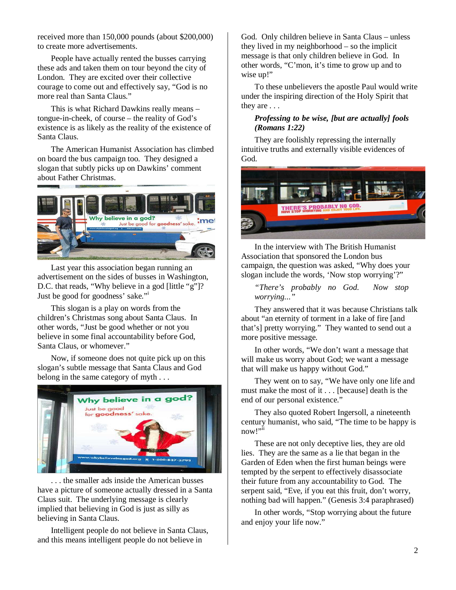received more than 150,000 pounds (about \$200,000) to create more advertisements.

People have actually rented the busses carrying these ads and taken them on tour beyond the city of London. They are excited over their collective courage to come out and effectively say, "God is no more real than Santa Claus."

This is what Richard Dawkins really means – tongue-in-cheek, of course – the reality of God's existence is as likely as the reality of the existence of Santa Claus.

The American Humanist Association has climbed on board the bus campaign too. They designed a slogan that subtly picks up on Dawkins' comment about Father Christmas.



Last year this association began running an advertisement on the sides of busses in Washington, D.C. that reads, "Why believe in a god [little "g"]? Just be good for goodness' sake."<sup>i</sup>

This slogan is a play on words from the children's Christmas song about Santa Claus. In other words, "Just be good whether or not you believe in some final accountability before God, Santa Claus, or whomever."

Now, if someone does not quite pick up on this slogan's subtle message that Santa Claus and God belong in the same category of myth . . .



. . . the smaller ads inside the American busses have a picture of someone actually dressed in a Santa Claus suit. The underlying message is clearly implied that believing in God is just as silly as believing in Santa Claus.

Intelligent people do not believe in Santa Claus, and this means intelligent people do not believe in

God. Only children believe in Santa Claus – unless they lived in my neighborhood – so the implicit message is that only children believe in God. In other words, "C'mon, it's time to grow up and to wise up!"

To these unbelievers the apostle Paul would write under the inspiring direction of the Holy Spirit that they are . . .

#### *Professing to be wise, [but are actually] fools (Romans 1:22)*

They are foolishly repressing the internally intuitive truths and externally visible evidences of God.



In the interview with The British Humanist Association that sponsored the London bus campaign, the question was asked, "Why does your slogan include the words, 'Now stop worrying'?"

*"There's probably no God. Now stop worrying..."* 

They answered that it was because Christians talk about "an eternity of torment in a lake of fire [and that's] pretty worrying." They wanted to send out a more positive message.

In other words, "We don't want a message that will make us worry about God; we want a message that will make us happy without God."

They went on to say, "We have only one life and must make the most of it . . . [because] death is the end of our personal existence."

They also quoted Robert Ingersoll, a nineteenth century humanist, who said, "The time to be happy is now!"<sup>ii</sup>

These are not only deceptive lies, they are old lies. They are the same as a lie that began in the Garden of Eden when the first human beings were tempted by the serpent to effectively disassociate their future from any accountability to God. The serpent said, "Eve, if you eat this fruit, don't worry, nothing bad will happen." (Genesis 3:4 paraphrased)

In other words, "Stop worrying about the future and enjoy your life now."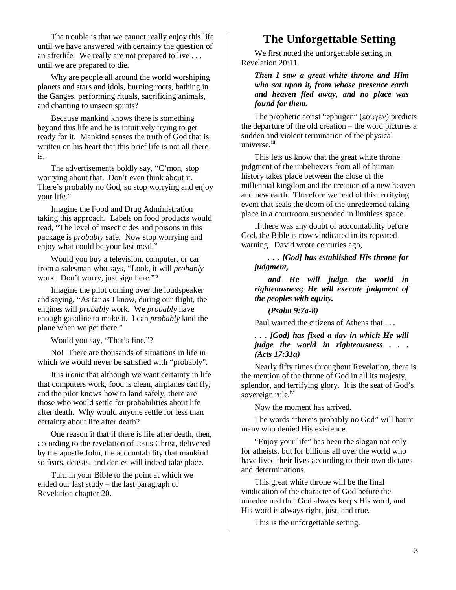The trouble is that we cannot really enjoy this life until we have answered with certainty the question of an afterlife. We really are not prepared to live . . . until we are prepared to die.

Why are people all around the world worshiping planets and stars and idols, burning roots, bathing in the Ganges, performing rituals, sacrificing animals, and chanting to unseen spirits?

Because mankind knows there is something beyond this life and he is intuitively trying to get ready for it. Mankind senses the truth of God that is written on his heart that this brief life is not all there is.

The advertisements boldly say, "C'mon, stop worrying about that. Don't even think about it. There's probably no God, so stop worrying and enjoy your life."

Imagine the Food and Drug Administration taking this approach. Labels on food products would read, "The level of insecticides and poisons in this package is *probably* safe. Now stop worrying and enjoy what could be your last meal."

Would you buy a television, computer, or car from a salesman who says, "Look, it will *probably* work. Don't worry, just sign here."?

Imagine the pilot coming over the loudspeaker and saying, "As far as I know, during our flight, the engines will *probably* work. We *probably* have enough gasoline to make it. I can *probably* land the plane when we get there."

Would you say, "That's fine."?

No! There are thousands of situations in life in which we would never be satisfied with "probably".

It is ironic that although we want certainty in life that computers work, food is clean, airplanes can fly, and the pilot knows how to land safely, there are those who would settle for probabilities about life after death. Why would anyone settle for less than certainty about life after death?

One reason it that if there is life after death, then, according to the revelation of Jesus Christ, delivered by the apostle John, the accountability that mankind so fears, detests, and denies will indeed take place.

Turn in your Bible to the point at which we ended our last study – the last paragraph of Revelation chapter 20.

### **The Unforgettable Setting**

We first noted the unforgettable setting in Revelation 20:11.

*Then I saw a great white throne and Him who sat upon it, from whose presence earth and heaven fled away, and no place was found for them.* 

The prophetic aorist "ephugen" (εφυγεν) predicts the departure of the old creation – the word pictures a sudden and violent termination of the physical universe.<sup>iii</sup>

This lets us know that the great white throne judgment of the unbelievers from all of human history takes place between the close of the millennial kingdom and the creation of a new heaven and new earth. Therefore we read of this terrifying event that seals the doom of the unredeemed taking place in a courtroom suspended in limitless space.

If there was any doubt of accountability before God, the Bible is now vindicated in its repeated warning. David wrote centuries ago,

#### *. . . [God] has established His throne for judgment,*

*and He will judge the world in righteousness; He will execute judgment of the peoples with equity.* 

*(Psalm 9:7a-8)* 

Paul warned the citizens of Athens that . . .

#### *. . . [God] has fixed a day in which He will judge the world in righteousness . . . (Acts 17:31a)*

Nearly fifty times throughout Revelation, there is the mention of the throne of God in all its majesty, splendor, and terrifying glory. It is the seat of God's sovereign rule.<sup>iv</sup>

Now the moment has arrived.

The words "there's probably no God" will haunt many who denied His existence.

"Enjoy your life" has been the slogan not only for atheists, but for billions all over the world who have lived their lives according to their own dictates and determinations.

This great white throne will be the final vindication of the character of God before the unredeemed that God always keeps His word, and His word is always right, just, and true.

This is the unforgettable setting.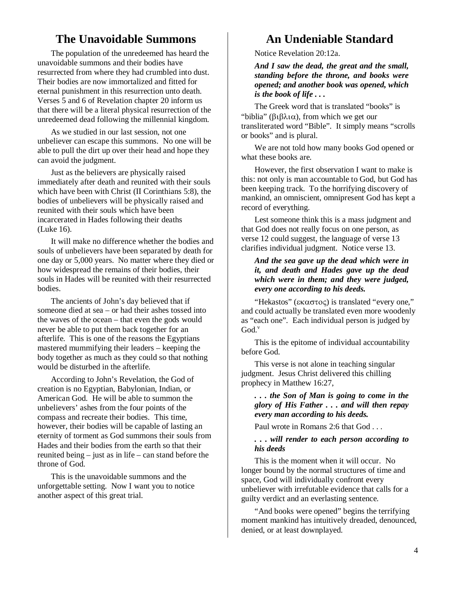## **The Unavoidable Summons**

The population of the unredeemed has heard the unavoidable summons and their bodies have resurrected from where they had crumbled into dust. Their bodies are now immortalized and fitted for eternal punishment in this resurrection unto death. Verses 5 and 6 of Revelation chapter 20 inform us that there will be a literal physical resurrection of the unredeemed dead following the millennial kingdom.

As we studied in our last session, not one unbeliever can escape this summons. No one will be able to pull the dirt up over their head and hope they can avoid the judgment.

Just as the believers are physically raised immediately after death and reunited with their souls which have been with Christ (II Corinthians 5:8), the bodies of unbelievers will be physically raised and reunited with their souls which have been incarcerated in Hades following their deaths (Luke 16).

It will make no difference whether the bodies and souls of unbelievers have been separated by death for one day or 5,000 years. No matter where they died or how widespread the remains of their bodies, their souls in Hades will be reunited with their resurrected **bodies** 

The ancients of John's day believed that if someone died at sea – or had their ashes tossed into the waves of the ocean – that even the gods would never be able to put them back together for an afterlife. This is one of the reasons the Egyptians mastered mummifying their leaders – keeping the body together as much as they could so that nothing would be disturbed in the afterlife.

According to John's Revelation, the God of creation is no Egyptian, Babylonian, Indian, or American God. He will be able to summon the unbelievers' ashes from the four points of the compass and recreate their bodies. This time, however, their bodies will be capable of lasting an eternity of torment as God summons their souls from Hades and their bodies from the earth so that their reunited being – just as in life – can stand before the throne of God.

This is the unavoidable summons and the unforgettable setting. Now I want you to notice another aspect of this great trial.

# **An Undeniable Standard**

Notice Revelation 20:12a.

*And I saw the dead, the great and the small, standing before the throne, and books were opened; and another book was opened, which is the book of life . . .* 

The Greek word that is translated "books" is "biblia" (βιβλια), from which we get our transliterated word "Bible". It simply means "scrolls or books" and is plural.

We are not told how many books God opened or what these books are.

However, the first observation I want to make is this: not only is man accountable to God, but God has been keeping track. To the horrifying discovery of mankind, an omniscient, omnipresent God has kept a record of everything.

Lest someone think this is a mass judgment and that God does not really focus on one person, as verse 12 could suggest, the language of verse 13 clarifies individual judgment. Notice verse 13.

#### *And the sea gave up the dead which were in it, and death and Hades gave up the dead which were in them; and they were judged, every one according to his deeds.*

"Hekastos" (εκαστος) is translated "every one," and could actually be translated even more woodenly as "each one". Each individual person is judged by  $God.$ 

This is the epitome of individual accountability before God.

This verse is not alone in teaching singular judgment. Jesus Christ delivered this chilling prophecy in Matthew 16:27,

#### *. . . the Son of Man is going to come in the glory of His Father . . . and will then repay every man according to his deeds.*

Paul wrote in Romans 2:6 that God . . .

#### *. . . will render to each person according to his deeds*

This is the moment when it will occur. No longer bound by the normal structures of time and space, God will individually confront every unbeliever with irrefutable evidence that calls for a guilty verdict and an everlasting sentence.

"And books were opened" begins the terrifying moment mankind has intuitively dreaded, denounced, denied, or at least downplayed.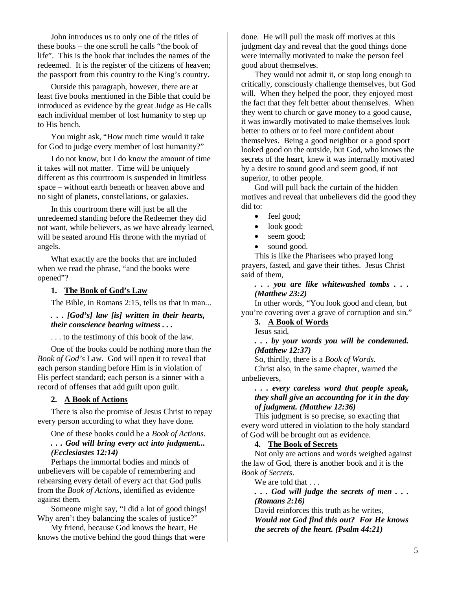John introduces us to only one of the titles of these books – the one scroll he calls "the book of life". This is the book that includes the names of the redeemed. It is the register of the citizens of heaven; the passport from this country to the King's country.

Outside this paragraph, however, there are at least five books mentioned in the Bible that could be introduced as evidence by the great Judge as He calls each individual member of lost humanity to step up to His bench.

You might ask, "How much time would it take for God to judge every member of lost humanity?"

I do not know, but I do know the amount of time it takes will not matter. Time will be uniquely different as this courtroom is suspended in limitless space – without earth beneath or heaven above and no sight of planets, constellations, or galaxies.

In this courtroom there will just be all the unredeemed standing before the Redeemer they did not want, while believers, as we have already learned, will be seated around His throne with the myriad of angels.

What exactly are the books that are included when we read the phrase, "and the books were opened"?

#### **1. The Book of God's Law**

The Bible, in Romans 2:15, tells us that in man...

#### *. . . [God's] law [is] written in their hearts, their conscience bearing witness . . .*

. . . to the testimony of this book of the law.

One of the books could be nothing more than *the Book of God's* Law. God will open it to reveal that each person standing before Him is in violation of His perfect standard; each person is a sinner with a record of offenses that add guilt upon guilt.

#### **2. A Book of Actions**

There is also the promise of Jesus Christ to repay every person according to what they have done.

One of these books could be a *Book of Actions*.

*. . . God will bring every act into judgment... (Ecclesiastes 12:14)* 

Perhaps the immortal bodies and minds of unbelievers will be capable of remembering and rehearsing every detail of every act that God pulls from the *Book of Actions*, identified as evidence against them.

Someone might say, "I did a lot of good things! Why aren't they balancing the scales of justice?"

My friend, because God knows the heart, He knows the motive behind the good things that were

done. He will pull the mask off motives at this judgment day and reveal that the good things done were internally motivated to make the person feel good about themselves.

They would not admit it, or stop long enough to critically, consciously challenge themselves, but God will. When they helped the poor, they enjoyed most the fact that they felt better about themselves. When they went to church or gave money to a good cause, it was inwardly motivated to make themselves look better to others or to feel more confident about themselves. Being a good neighbor or a good sport looked good on the outside, but God, who knows the secrets of the heart, knew it was internally motivated by a desire to sound good and seem good, if not superior, to other people.

God will pull back the curtain of the hidden motives and reveal that unbelievers did the good they did to:

- feel good;
- look good;
- seem good;
- sound good.

This is like the Pharisees who prayed long prayers, fasted, and gave their tithes. Jesus Christ said of them,

*. . . you are like whitewashed tombs . . . (Matthew 23:2)* 

In other words, "You look good and clean, but you're covering over a grave of corruption and sin."

#### **3. A Book of Words**

Jesus said,

*. . . by your words you will be condemned. (Matthew 12:37)* 

So, thirdly, there is a *Book of Words*.

Christ also, in the same chapter, warned the unbelievers,

#### *. . . every careless word that people speak, they shall give an accounting for it in the day of judgment. (Matthew 12:36)*

This judgment is so precise, so exacting that every word uttered in violation to the holy standard of God will be brought out as evidence.

#### **4. The Book of Secrets**

Not only are actions and words weighed against the law of God, there is another book and it is the *Book of Secrets*.

We are told that . . .

*. . . God will judge the secrets of men . . . (Romans 2:16)* 

David reinforces this truth as he writes, *Would not God find this out? For He knows the secrets of the heart. (Psalm 44:21)*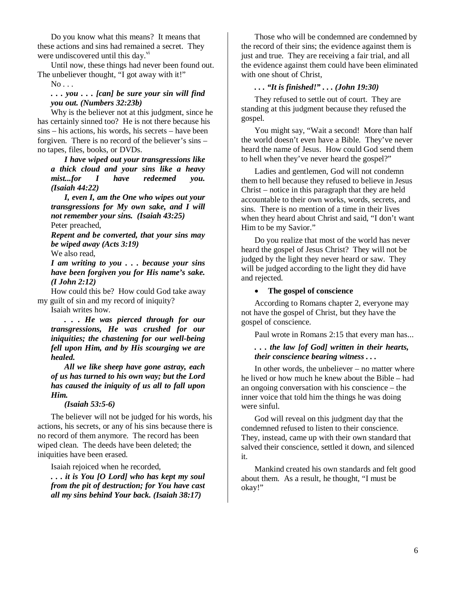Do you know what this means? It means that these actions and sins had remained a secret. They were undiscovered until this day. $\frac{v_1}{v_2}$ 

Until now, these things had never been found out. The unbeliever thought, "I got away with it!"

#### $No...$

*. . . you . . . [can] be sure your sin will find you out. (Numbers 32:23b)*

Why is the believer not at this judgment, since he has certainly sinned too? He is not there because his sins – his actions, his words, his secrets – have been forgiven. There is no record of the believer's sins – no tapes, files, books, or DVDs.

*I have wiped out your transgressions like a thick cloud and your sins like a heavy mist...for I have redeemed you. (Isaiah 44:22)* 

*I, even I, am the One who wipes out your transgressions for My own sake, and I will not remember your sins. (Isaiah 43:25)*  Peter preached,

*Repent and be converted, that your sins may be wiped away (Acts 3:19)*

We also read,

*I am writing to you . . . because your sins have been forgiven you for His name's sake. (I John 2:12)* 

How could this be? How could God take away my guilt of sin and my record of iniquity?

Isaiah writes how.

*. . . He was pierced through for our transgressions, He was crushed for our iniquities; the chastening for our well-being fell upon Him, and by His scourging we are healed.* 

*All we like sheep have gone astray, each of us has turned to his own way; but the Lord has caused the iniquity of us all to fall upon Him.* 

#### *(Isaiah 53:5-6)*

The believer will not be judged for his words, his actions, his secrets, or any of his sins because there is no record of them anymore. The record has been wiped clean. The deeds have been deleted; the iniquities have been erased.

Isaiah rejoiced when he recorded,

*. . . it is You [O Lord] who has kept my soul from the pit of destruction; for You have cast all my sins behind Your back. (Isaiah 38:17)* 

Those who will be condemned are condemned by the record of their sins; the evidence against them is just and true. They are receiving a fair trial, and all the evidence against them could have been eliminated with one shout of Christ,

#### *. . . "It is finished!" . . . (John 19:30)*

They refused to settle out of court. They are standing at this judgment because they refused the gospel.

You might say, "Wait a second! More than half the world doesn't even have a Bible. They've never heard the name of Jesus. How could God send them to hell when they've never heard the gospel?"

Ladies and gentlemen, God will not condemn them to hell because they refused to believe in Jesus Christ – notice in this paragraph that they are held accountable to their own works, words, secrets, and sins. There is no mention of a time in their lives when they heard about Christ and said, "I don't want Him to be my Savior."

Do you realize that most of the world has never heard the gospel of Jesus Christ? They will not be judged by the light they never heard or saw. They will be judged according to the light they did have and rejected.

#### • **The gospel of conscience**

According to Romans chapter 2, everyone may not have the gospel of Christ, but they have the gospel of conscience.

Paul wrote in Romans 2:15 that every man has...

#### *. . . the law [of God] written in their hearts, their conscience bearing witness . . .*

In other words, the unbeliever – no matter where he lived or how much he knew about the Bible – had an ongoing conversation with his conscience – the inner voice that told him the things he was doing were sinful.

God will reveal on this judgment day that the condemned refused to listen to their conscience. They, instead, came up with their own standard that salved their conscience, settled it down, and silenced it.

Mankind created his own standards and felt good about them. As a result, he thought, "I must be okay!"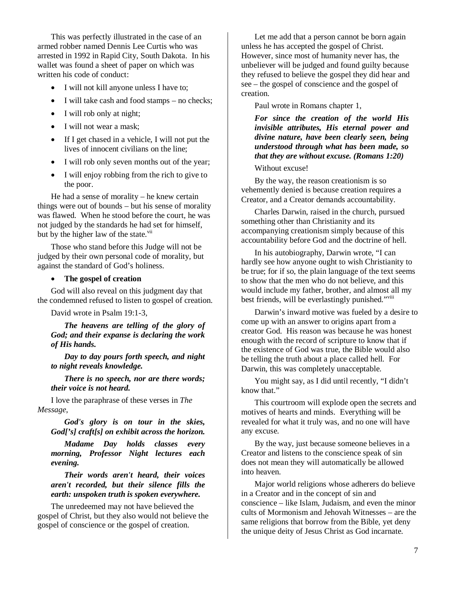This was perfectly illustrated in the case of an armed robber named Dennis Lee Curtis who was arrested in 1992 in Rapid City, South Dakota. In his wallet was found a sheet of paper on which was written his code of conduct:

- I will not kill anyone unless I have to;
- I will take cash and food stamps no checks;
- I will rob only at night;
- I will not wear a mask;
- If I get chased in a vehicle, I will not put the lives of innocent civilians on the line;
- I will rob only seven months out of the year;
- I will enjoy robbing from the rich to give to the poor.

He had a sense of morality – he knew certain things were out of bounds – but his sense of morality was flawed. When he stood before the court, he was not judged by the standards he had set for himself, but by the higher law of the state. $\frac{v}{u}$ 

Those who stand before this Judge will not be judged by their own personal code of morality, but against the standard of God's holiness.

#### • **The gospel of creation**

God will also reveal on this judgment day that the condemned refused to listen to gospel of creation.

David wrote in Psalm 19:1-3,

*The heavens are telling of the glory of God; and their expanse is declaring the work of His hands.* 

*Day to day pours forth speech, and night to night reveals knowledge.* 

*There is no speech, nor are there words; their voice is not heard.* 

I love the paraphrase of these verses in *The Message*,

*God's glory is on tour in the skies, God['s] craft[s] on exhibit across the horizon.* 

*Madame Day holds classes every morning, Professor Night lectures each evening.* 

*Their words aren't heard, their voices aren't recorded, but their silence fills the earth: unspoken truth is spoken everywhere.* 

The unredeemed may not have believed the gospel of Christ, but they also would not believe the gospel of conscience or the gospel of creation.

Let me add that a person cannot be born again unless he has accepted the gospel of Christ. However, since most of humanity never has, the unbeliever will be judged and found guilty because they refused to believe the gospel they did hear and see – the gospel of conscience and the gospel of creation.

Paul wrote in Romans chapter 1,

*For since the creation of the world His invisible attributes, His eternal power and divine nature, have been clearly seen, being understood through what has been made, so that they are without excuse. (Romans 1:20)* 

Without excuse!

By the way, the reason creationism is so vehemently denied is because creation requires a Creator, and a Creator demands accountability.

Charles Darwin, raised in the church, pursued something other than Christianity and its accompanying creationism simply because of this accountability before God and the doctrine of hell.

In his autobiography, Darwin wrote, "I can hardly see how anyone ought to wish Christianity to be true; for if so, the plain language of the text seems to show that the men who do not believe, and this would include my father, brother, and almost all my best friends, will be everlastingly punished."viii

Darwin's inward motive was fueled by a desire to come up with an answer to origins apart from a creator God. His reason was because he was honest enough with the record of scripture to know that if the existence of God was true, the Bible would also be telling the truth about a place called hell. For Darwin, this was completely unacceptable.

You might say, as I did until recently, "I didn't know that."

This courtroom will explode open the secrets and motives of hearts and minds. Everything will be revealed for what it truly was, and no one will have any excuse.

By the way, just because someone believes in a Creator and listens to the conscience speak of sin does not mean they will automatically be allowed into heaven.

Major world religions whose adherers do believe in a Creator and in the concept of sin and conscience – like Islam, Judaism, and even the minor cults of Mormonism and Jehovah Witnesses – are the same religions that borrow from the Bible, yet deny the unique deity of Jesus Christ as God incarnate.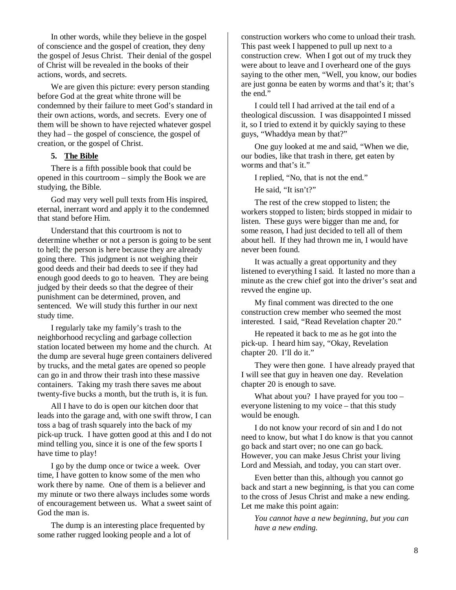In other words, while they believe in the gospel of conscience and the gospel of creation, they deny the gospel of Jesus Christ. Their denial of the gospel of Christ will be revealed in the books of their actions, words, and secrets.

We are given this picture: every person standing before God at the great white throne will be condemned by their failure to meet God's standard in their own actions, words, and secrets. Every one of them will be shown to have rejected whatever gospel they had – the gospel of conscience, the gospel of creation, or the gospel of Christ.

#### **5. The Bible**

There is a fifth possible book that could be opened in this courtroom – simply the Book we are studying, the Bible.

God may very well pull texts from His inspired, eternal, inerrant word and apply it to the condemned that stand before Him.

Understand that this courtroom is not to determine whether or not a person is going to be sent to hell; the person is here because they are already going there. This judgment is not weighing their good deeds and their bad deeds to see if they had enough good deeds to go to heaven. They are being judged by their deeds so that the degree of their punishment can be determined, proven, and sentenced. We will study this further in our next study time.

I regularly take my family's trash to the neighborhood recycling and garbage collection station located between my home and the church. At the dump are several huge green containers delivered by trucks, and the metal gates are opened so people can go in and throw their trash into these massive containers. Taking my trash there saves me about twenty-five bucks a month, but the truth is, it is fun.

All I have to do is open our kitchen door that leads into the garage and, with one swift throw, I can toss a bag of trash squarely into the back of my pick-up truck. I have gotten good at this and I do not mind telling you, since it is one of the few sports I have time to play!

I go by the dump once or twice a week. Over time, I have gotten to know some of the men who work there by name. One of them is a believer and my minute or two there always includes some words of encouragement between us. What a sweet saint of God the man is.

The dump is an interesting place frequented by some rather rugged looking people and a lot of

construction workers who come to unload their trash. This past week I happened to pull up next to a construction crew. When I got out of my truck they were about to leave and I overheard one of the guys saying to the other men, "Well, you know, our bodies are just gonna be eaten by worms and that's it; that's the end."

I could tell I had arrived at the tail end of a theological discussion. I was disappointed I missed it, so I tried to extend it by quickly saying to these guys, "Whaddya mean by that?"

One guy looked at me and said, "When we die, our bodies, like that trash in there, get eaten by worms and that's it."

I replied, "No, that is not the end."

He said. "It isn't?"

The rest of the crew stopped to listen; the workers stopped to listen; birds stopped in midair to listen. These guys were bigger than me and, for some reason, I had just decided to tell all of them about hell. If they had thrown me in, I would have never been found.

It was actually a great opportunity and they listened to everything I said. It lasted no more than a minute as the crew chief got into the driver's seat and revved the engine up.

My final comment was directed to the one construction crew member who seemed the most interested. I said, "Read Revelation chapter 20."

He repeated it back to me as he got into the pick-up. I heard him say, "Okay, Revelation chapter 20. I'll do it."

They were then gone. I have already prayed that I will see that guy in heaven one day. Revelation chapter 20 is enough to save.

What about you? I have prayed for you too – everyone listening to my voice – that this study would be enough.

I do not know your record of sin and I do not need to know, but what I do know is that you cannot go back and start over; no one can go back. However, you can make Jesus Christ your living Lord and Messiah, and today, you can start over.

Even better than this, although you cannot go back and start a new beginning, is that you can come to the cross of Jesus Christ and make a new ending. Let me make this point again:

*You cannot have a new beginning, but you can have a new ending.*